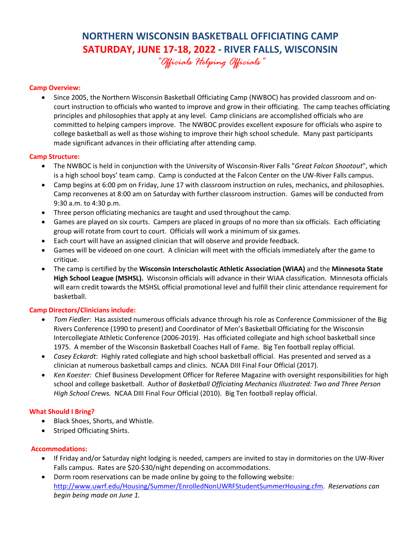# **NORTHERN WISCONSIN BASKETBALL OFFICIATING CAMP SATURDAY, JUNE 17-18, 2022 - RIVER FALLS, WISCONSIN**

*"Officials Helping Officials"*

## **Camp Overview:**

• Since 2005, the Northern Wisconsin Basketball Officiating Camp (NWBOC) has provided classroom and oncourt instruction to officials who wanted to improve and grow in their officiating. The camp teaches officiating principles and philosophies that apply at any level. Camp clinicians are accomplished officials who are committed to helping campers improve. The NWBOC provides excellent exposure for officials who aspire to college basketball as well as those wishing to improve their high school schedule. Many past participants made significant advances in their officiating after attending camp.

### **Camp Structure:**

- The NWBOC is held in conjunction with the University of Wisconsin-River Falls "*Great Falcon Shootout*", which is a high school boys' team camp. Camp is conducted at the Falcon Center on the UW-River Falls campus.
- Camp begins at 6:00 pm on Friday, June 17 with classroom instruction on rules, mechanics, and philosophies. Camp reconvenes at 8:00 am on Saturday with further classroom instruction. Games will be conducted from 9:30 a.m. to 4:30 p.m.
- Three person officiating mechanics are taught and used throughout the camp.
- Games are played on six courts. Campers are placed in groups of no more than six officials. Each officiating group will rotate from court to court. Officials will work a minimum of six games.
- Each court will have an assigned clinician that will observe and provide feedback.
- Games will be videoed on one court. A clinician will meet with the officials immediately after the game to critique.
- The camp is certified by the **Wisconsin Interscholastic Athletic Association (WIAA)** and the **Minnesota State High School League (MSHSL).** Wisconsin officials will advance in their WIAA classification. Minnesota officials will earn credit towards the MSHSL official promotional level and fulfill their clinic attendance requirement for basketball.

### **Camp Directors/Clinicians include:**

- *Tom Fiedler*: Has assisted numerous officials advance through his role as Conference Commissioner of the Big Rivers Conference (1990 to present) and Coordinator of Men's Basketball Officiating for the Wisconsin Intercollegiate Athletic Conference (2006-2019). Has officiated collegiate and high school basketball since 1975. A member of the Wisconsin Basketball Coaches Hall of Fame. Big Ten football replay official.
- *Casey Eckardt*: Highly rated collegiate and high school basketball official. Has presented and served as a clinician at numerous basketball camps and clinics. NCAA DIII Final Four Official (2017).
- *Ken Koester:* Chief Business Development Officer for Referee Magazine with oversight responsibilities for high school and college basketball. Author of *Basketball Officiating Mechanics Illustrated: Two and Three Person High School Crews.* NCAA DIII Final Four Official (2010). Big Ten football replay official.

### **What Should I Bring?**

- Black Shoes, Shorts, and Whistle.
- Striped Officiating Shirts.

### **Accommodations:**

- If Friday and/or Saturday night lodging is needed, campers are invited to stay in dormitories on the UW-River Falls campus. Rates are \$20-\$30/night depending on accommodations.
- Dorm room reservations can be made online by going to the following website: http://www.uwrf.edu/Housing/Summer/EnrolledNonUWRFStudentSummerHousing.cfm. *Reservations can begin being made on June 1.*